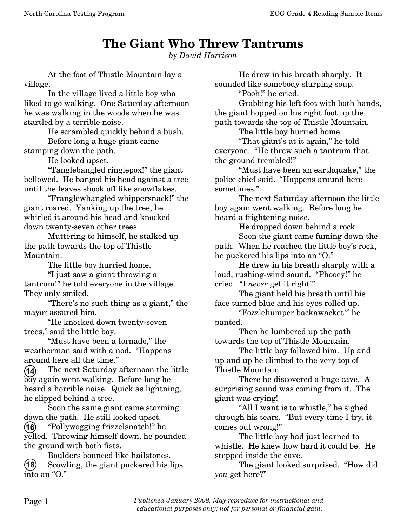## **The Giant Who Threw Tantrums**

*by David Harrison* 

 At the foot of Thistle Mountain lay a village.

 In the village lived a little boy who liked to go walking. One Saturday afternoon he was walking in the woods when he was startled by a terrible noise.

 He scrambled quickly behind a bush. Before long a huge giant came

stamping down the path.

He looked upset.

 "Tanglebangled ringlepox!" the giant bellowed. He banged his head against a tree until the leaves shook off like snowflakes.

 "Franglewhangled whippersnack!" the giant roared. Yanking up the tree, he whirled it around his head and knocked down twenty-seven other trees.

 Muttering to himself, he stalked up the path towards the top of Thistle Mountain.

The little boy hurried home.

 "I just saw a giant throwing a tantrum!" he told everyone in the village. They only smiled.

 "There's no such thing as a giant," the mayor assured him.

 "He knocked down twenty-seven trees," said the little boy.

 "Must have been a tornado," the weatherman said with a nod. "Happens around here all the time."

 The next Saturday afternoon the little boy again went walking. Before long he heard a horrible noise. Quick as lightning, he slipped behind a tree. **14**

 Soon the same giant came storming down the path. He still looked upset.

 "Pollywogging frizzelsnatch!" he yelled. Throwing himself down, he pounded the ground with both fists. **16**

 Boulders bounced like hailstones. Scowling, the giant puckered his lips into an "O." **-**

 He drew in his breath sharply. It sounded like somebody slurping soup.

"Pooh!" he cried.

 Grabbing his left foot with both hands, the giant hopped on his right foot up the path towards the top of Thistle Mountain.

The little boy hurried home.

 "That giant's at it again," he told everyone. "He threw such a tantrum that the ground trembled!"

 "Must have been an earthquake," the police chief said. "Happens around here sometimes."

 The next Saturday afternoon the little boy again went walking. Before long he heard a frightening noise.

 He dropped down behind a rock. Soon the giant came fuming down the path. When he reached the little boy's rock, he puckered his lips into an "O."

 He drew in his breath sharply with a loud, rushing-wind sound. "Phooey!" he cried. "I *never* get it right!"

 The giant held his breath until his face turned blue and his eyes rolled up.

 "Fozzlehumper backawacket!" he panted.

 Then he lumbered up the path towards the top of Thistle Mountain.

 The little boy followed him. Up and up and up he climbed to the very top of Thistle Mountain.

 There he discovered a huge cave. A surprising sound was coming from it. The giant was crying!

 "All I want is to whistle," he sighed through his tears. "But every time I try, it comes out wrong!"

 The little boy had just learned to whistle. He knew how hard it could be. He stepped inside the cave.

 The giant looked surprised. "How did *you* get here?"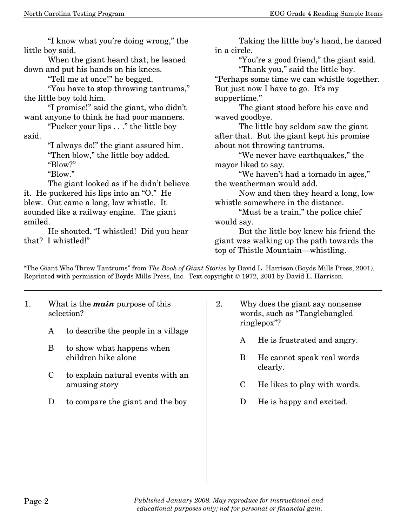"I know what you're doing wrong," the little boy said.

 When the giant heard that, he leaned down and put his hands on his knees.

"Tell me at once!" he begged.

 "You have to stop throwing tantrums," the little boy told him.

 "I promise!" said the giant, who didn't want anyone to think he had poor manners.

 "Pucker your lips . . ." the little boy said.

> "I always do!" the giant assured him. "Then blow," the little boy added. "Blow?"

"Blow."

 The giant looked as if he didn't believe it. He puckered his lips into an "O." He blew. Out came a long, low whistle. It sounded like a railway engine. The giant smiled.

 He shouted, "I whistled! Did you hear that? I whistled!"

 Taking the little boy's hand, he danced in a circle.

 "You're a good friend," the giant said. "Thank you," said the little boy. "Perhaps some time we can whistle together. But just now I have to go. It's my suppertime."

 The giant stood before his cave and waved goodbye.

 The little boy seldom saw the giant after that. But the giant kept his promise about not throwing tantrums.

 "We never have earthquakes," the mayor liked to say.

 "We haven't had a tornado in ages," the weatherman would add.

 Now and then they heard a long, low whistle somewhere in the distance.

 "Must be a train," the police chief would say.

 But the little boy knew his friend the giant was walking up the path towards the top of Thistle Mountain–whistling.

"The Giant Who Threw Tantrums" from *The Book of Giant Stories* by David L. Harrison (Boyds Mills Press, 2001). Reprinted with permission of Boyds Mills Press, Inc. Text copyright © 1972, 2001 by David L. Harrison.

- 1. What is the *main* purpose of this selection?
	- A to describe the people in a village
	- B to show what happens when children hike alone
	- C to explain natural events with an amusing story
	- D to compare the giant and the boy
- 2. Why does the giant say nonsense words, such as "Tanglebangled ringlepox"?
	- A He is frustrated and angry.
	- B He cannot speak real words clearly.
	- C He likes to play with words.
	- D He is happy and excited.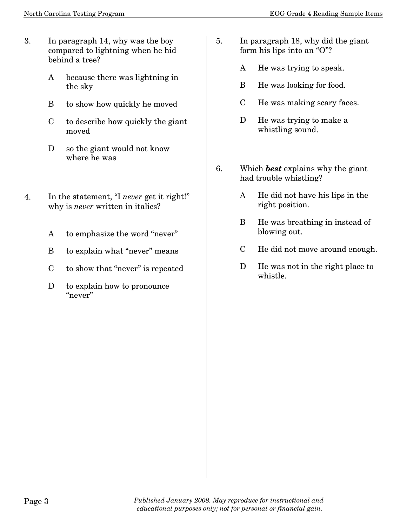- 3. In paragraph 14, why was the boy compared to lightning when he hid behind a tree?
	- A because there was lightning in the sky
	- B to show how quickly he moved
	- C to describe how quickly the giant moved
	- D so the giant would not know where he was
- 4. In the statement, "I *never* get it right!" why is *never* written in italics?
	- A to emphasize the word "never"
	- B to explain what "never" means
	- C to show that "never" is repeated
	- D to explain how to pronounce "never"
- 5. In paragraph 18, why did the giant form his lips into an "O"?
	- A He was trying to speak.
	- B He was looking for food.
	- C He was making scary faces.
	- D He was trying to make a whistling sound.
- 6. Which *best* explains why the giant had trouble whistling?
	- A He did not have his lips in the right position.
	- B He was breathing in instead of blowing out.
	- C He did not move around enough.
	- D He was not in the right place to whistle.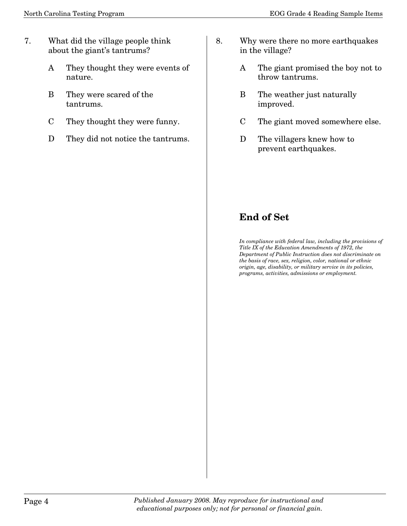- 7. What did the village people think about the giant's tantrums?
	- A They thought they were events of nature.
	- B They were scared of the tantrums.
	- C They thought they were funny.
	- D They did not notice the tantrums.
- 8. Why were there no more earthquakes in the village?
	- A The giant promised the boy not to throw tantrums.
	- B The weather just naturally improved.
	- C The giant moved somewhere else.
	- D The villagers knew how to prevent earthquakes.

## **End of Set**

*In compliance with federal law, including the provisions of Title IX of the Education Amendments of 1972, the Department of Public Instruction does not discriminate on the basis of race, sex, religion, color, national or ethnic origin, age, disability, or military service in its policies, programs, activities, admissions or employment.*